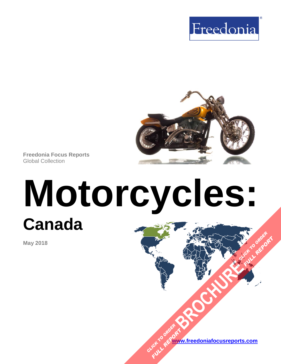



**Freedonia Focus Reports** Global Collection

# **Motorcycles: Canada [BROCHURE](https://www.freedoniafocusreports.com/Motorcycles-Canada-FA85016/?progid=89541) CLICK TO ORDER**

**May 2018**

**[www.freedoniafocusreports.com](https://www.freedoniafocusreports.com/redirect.asp?progid=89534&url=/)** CLICK TO ORDER **FULL REPORT** 

**FULL REPORT**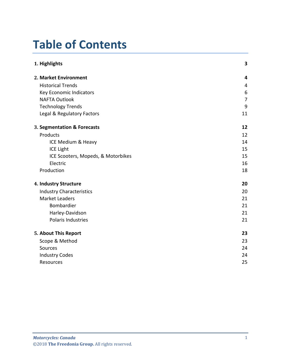# **Table of Contents**

| 1. Highlights                      | 3              |
|------------------------------------|----------------|
| 2. Market Environment              | 4              |
| <b>Historical Trends</b>           | 4              |
| Key Economic Indicators            | 6              |
| <b>NAFTA Outlook</b>               | $\overline{7}$ |
| <b>Technology Trends</b>           | 9              |
| Legal & Regulatory Factors         | 11             |
| 3. Segmentation & Forecasts        | 12             |
| Products                           | 12             |
| ICE Medium & Heavy                 | 14             |
| <b>ICE Light</b>                   | 15             |
| ICE Scooters, Mopeds, & Motorbikes | 15             |
| Electric                           | 16             |
| Production                         | 18             |
| 4. Industry Structure              | 20             |
| <b>Industry Characteristics</b>    | 20             |
| <b>Market Leaders</b>              | 21             |
| Bombardier                         | 21             |
| Harley-Davidson                    | 21             |
| Polaris Industries                 | 21             |
| 5. About This Report               | 23             |
| Scope & Method                     | 23             |
| Sources                            | 24             |
| <b>Industry Codes</b>              | 24             |
| Resources                          | 25             |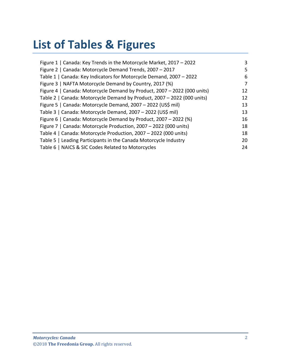# **List of Tables & Figures**

| Figure 1   Canada: Key Trends in the Motorcycle Market, 2017 - 2022      | 3  |
|--------------------------------------------------------------------------|----|
| Figure 2   Canada: Motorcycle Demand Trends, 2007 - 2017                 | 5  |
| Table 1   Canada: Key Indicators for Motorcycle Demand, 2007 - 2022      | 6  |
| Figure 3   NAFTA Motorcycle Demand by Country, 2017 (%)                  | 7  |
| Figure 4   Canada: Motorcycle Demand by Product, 2007 - 2022 (000 units) | 12 |
| Table 2   Canada: Motorcycle Demand by Product, 2007 - 2022 (000 units)  | 12 |
| Figure 5   Canada: Motorcycle Demand, 2007 - 2022 (US\$ mil)             | 13 |
| Table 3   Canada: Motorcycle Demand, 2007 - 2022 (US\$ mil)              | 13 |
| Figure 6   Canada: Motorcycle Demand by Product, 2007 - 2022 (%)         | 16 |
| Figure 7   Canada: Motorcycle Production, 2007 - 2022 (000 units)        | 18 |
| Table 4   Canada: Motorcycle Production, 2007 - 2022 (000 units)         | 18 |
| Table 5   Leading Participants in the Canada Motorcycle Industry         | 20 |
| Table 6   NAICS & SIC Codes Related to Motorcycles                       | 24 |
|                                                                          |    |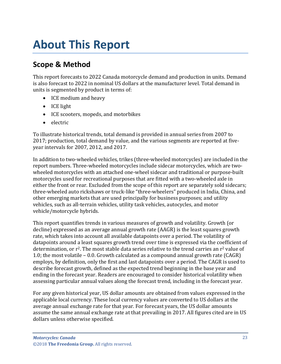# <span id="page-3-0"></span>**About This Report**

# <span id="page-3-1"></span>**Scope & Method**

This report forecasts to 2022 Canada motorcycle demand and production in units. Demand is also forecast to 2022 in nominal US dollars at the manufacturer level. Total demand in units is segmented by product in terms of:

- ICE medium and heavy
- ICE light
- ICE scooters, mopeds, and motorbikes
- electric

To illustrate historical trends, total demand is provided in annual series from 2007 to 2017; production, total demand by value, and the various segments are reported at fiveyear intervals for 2007, 2012, and 2017.

In addition to two-wheeled vehicles, trikes (three-wheeled motorcycles) are included in the report numbers. Three-wheeled motorcycles include sidecar motorcycles, which are twowheeled motorcycles with an attached one-wheel sidecar and traditional or purpose-built motorcycles used for recreational purposes that are fitted with a two-wheeled axle in either the front or rear. Excluded from the scope of this report are separately sold sidecars; three-wheeled auto rickshaws or truck-like "three-wheelers" produced in India, China, and other emerging markets that are used principally for business purposes; and utility vehicles, such as all-terrain vehicles, utility task vehicles, autocycles, and motor vehicle/motorcycle hybrids.

This report quantifies trends in various measures of growth and volatility. Growth (or decline) expressed as an average annual growth rate (AAGR) is the least squares growth rate, which takes into account all available datapoints over a period. The volatility of datapoints around a least squares growth trend over time is expressed via the coefficient of determination, or  $r^2$ . The most stable data series relative to the trend carries an  $r^2$  value of 1.0; the most volatile – 0.0. Growth calculated as a compound annual growth rate (CAGR) employs, by definition, only the first and last datapoints over a period. The CAGR is used to describe forecast growth, defined as the expected trend beginning in the base year and ending in the forecast year. Readers are encouraged to consider historical volatility when assessing particular annual values along the forecast trend, including in the forecast year.

For any given historical year, US dollar amounts are obtained from values expressed in the applicable local currency. These local currency values are converted to US dollars at the average annual exchange rate for that year. For forecast years, the US dollar amounts assume the same annual exchange rate at that prevailing in 2017. All figures cited are in US dollars unless otherwise specified.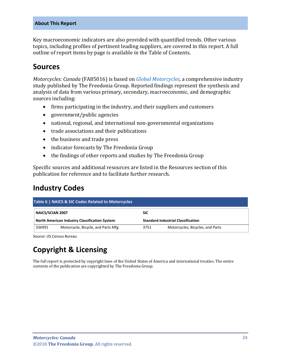#### **About This Report**

Key macroeconomic indicators are also provided with quantified trends. Other various topics, including profiles of pertinent leading suppliers, are covered in this report. A full outline of report items by page is available in the Table of Contents.

## <span id="page-4-0"></span>**Sources**

*Motorcycles: Canada* (FA85016) is based on *[Global Motorcycles,](http://www.freedoniagroup.com/DocumentDetails.aspx?ReferrerId=FL-FOCUS&studyid=3634)* a comprehensive industry study published by The Freedonia Group. Reported findings represent the synthesis and analysis of data from various primary, secondary, macroeconomic, and demographic sources including:

- firms participating in the industry, and their suppliers and customers
- government/public agencies
- national, regional, and international non-governmental organizations
- trade associations and their publications
- the business and trade press
- indicator forecasts by The Freedonia Group
- the findings of other reports and studies by The Freedonia Group

Specific sources and additional resources are listed in the Resources section of this publication for reference and to facilitate further research.

## <span id="page-4-1"></span>**Industry Codes**

<span id="page-4-2"></span>

| Table 6   NAICS & SIC Codes Related to Motorcycles |                                               |            |                                           |  |
|----------------------------------------------------|-----------------------------------------------|------------|-------------------------------------------|--|
| NAICS/SCIAN 2007                                   |                                               | <b>SIC</b> |                                           |  |
|                                                    | North American Industry Classification System |            | <b>Standard Industrial Classification</b> |  |
| 336991                                             | Motorcycle, Bicycle, and Parts Mfg            | 3751       | Motorcycles, Bicycles, and Parts          |  |

Source: US Census Bureau

# **Copyright & Licensing**

The full report is protected by copyright laws of the United States of America and international treaties. The entire contents of the publication are copyrighted by The Freedonia Group.